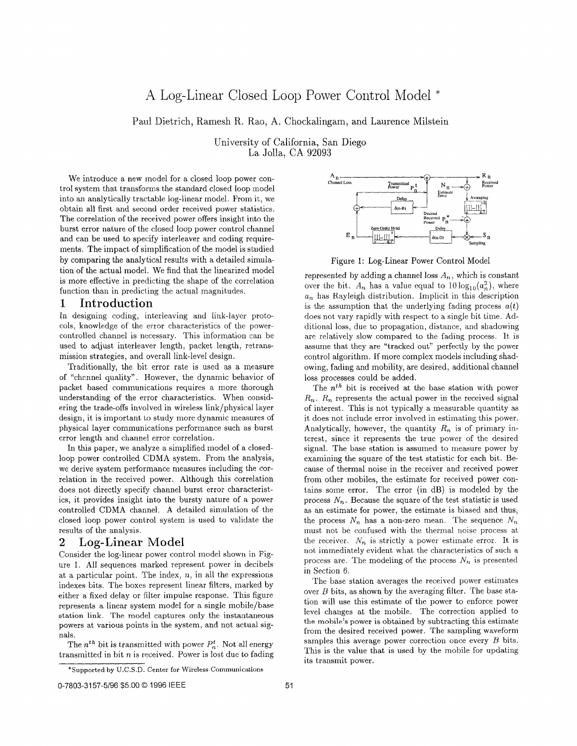# A Log-Linear Closed Loop Power Control Model \*

Paul Dietrich, Ramesh R. Rao, A. Chockalingam, and Laurence Milstein

University of California, San Diego La Jolla, CA 92093

We introduce a new model for a closed loop power control system that transforms the standard closed loop model into an analytically tractable log-linear model. From it, we obtain all first and second order received power statistics. The correlation of the received power offers insight into the burst error nature of the closed loop power control channel and can be used to specify interleaver and coding requirements. The impact of simplification of the model is studied by comparing the analytical results with a detailed simulation of the actual model. We find that the linearized model is more effective in predicting the shape of the correlation function than in predicting the actual magnitudes.

### 1 Introduction

In designing coding, interleaving and link-layer protocols, knowledge of the error characteristics of the powercontrolled channel is necessary. This information can be used to adjust interleaver length, packet length, retransmission strategies, and overall link-level design.

Traditionally, the bit error rate is used as a measure of "chznnel quality". However, the dynamic behavior of packet based communications requires a more thorough understanding of the error characteristics. When considering the trade-offs involved in wireless link/physical layer design, it is important to study more dynamic measures of physical layer communications performance such as burst error length and channel error correlation.

In this paper, we analyze a simplified model of a closedloop power controlled CDMA system. From the analysis, we derive system performance measures including the correlation in the received power. Although this correlation does not directly specify channel burst error characteristics, it provides insight into the bursty nature of a power controlled CDMA channel. A detailed simulation of the closed loop power control system is used to validate the results of the analysis.

### **2** Log-Linear Model

Consider the log-linear power control model shown in Figure 1. All sequences marked represent power in decibels at a particular point. The index,  $n$ , in all the expressions indexes bits. The boxes represent linear filters, marked by either a fixed delay or ffilter impulse response. This figure represents a linear system model for a single mobile/base station link. The model captures only the instantaneous powers at various points in the system, and not actual signals.

The  $n^{th}$  bit is transmitted with power  $P_n^t$ . Not all energy transmitted in bit *n* is received. Power is lost due to fading



Figure 1: Log-Linear Power Control Model

represented by adding a channel loss  $A_n$ , which is constant over the bit.  $A_n$  has a value equal to  $10 \log_{10}(a_n^2)$ , where  $u_n$  has Rayleigh distribution. Implicit in this description is the assumption that the underlying fading process  $a(t)$ does not vary rapidly with respect to a single bit time. Additional loss, due to propagation, distance, and shadowing are relatively slow compared to the fading process. It is assume that they are "tracked out" perfectly by the power control algorithm. If more complex models including shadowing, fading and mobility, are desired, additional channel loss processes could be added.

The *nth* bit is received at the base station with power  $R_n$ .  $R_n$  represents the actual power in the received signal of interest. This is not typically a measurable quantity as it does not include error involved in estimating this power. Analytically, however, the quantity  $R_n$  is of primary interest, since it represents the true power of the desired signal. The base station is assumed to measure power by examining the square of the test statistic for each bit. Because of thermal noise in the receiver and received power from other mobiles, the estimate for received power contains some error. The error (in dB) is modeled by the process  $N_n$ . Because the square of the test statistic is used as an estimate for power, the estimate is biased and thus, the process  $N_n$  has a non-zero mean. The sequence  $N_n$ must not be confused with the thermal noise process at the receiver.  $N_n$  is strictly a power estimate error. It is not immediately evident what the characteristics of such a process are. The modeling of the process  $N_n$  is presented in Section 6.

The base station averages the received power estimates over *B* bits, as shown by the averaging filter. The base station will use this estimate of the power to enforce power level changes at the mobile. The correction applied to the **mobile's** power is obtained by subtracting this estimate from the desired received power. The sampling waveform samples this average power correction once every *B* bits. This is the value that is used by the mobile for updating its transmit power.

<sup>&</sup>quot;Supported **by** U.C.S.D. Center for Wireless Communications

<sup>0-7803-3157-5/96 \$5.00 &</sup>lt;sup>©</sup> 1996 IEEE 51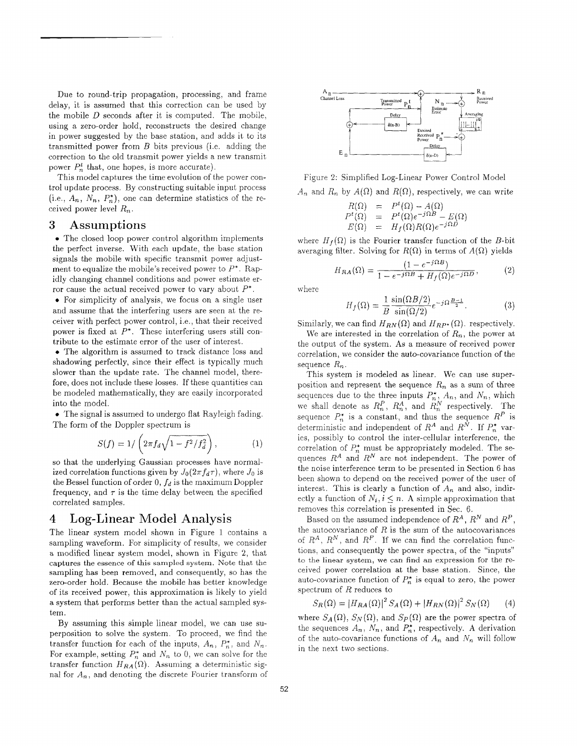Due to round-trip propagation, processing, and frame delay, it is assumed that this correction can be used by the mobile *D* seconds after it is computed. The mobile, using a zero-order hold, reconstructs the desired change in power suggested by the base station, and adds it to its transmitted power from *B* bits previous (i.e. adding the correction to the old transmit power yields a new transmit power  $P_n^t$  that, one hopes, is more accurate).

This model captures the time evolution of the power control update process. By constructing suitable input process (i.e.,  $A_n$ ,  $N_n$ ,  $P_n^*$ ), one can determine statistics of the received power level  $R_n$ .

## **3** Assumptions

• The closed loop power control algorithm implements the perfect inverse. With each update, the base station signals the mobile with specific transmit power adjustment to equalize the mobile's received power to  $P^*$ . Rapidly changing channel conditions and power estimate error cause the actual received power to vary about *P".* 

*0* For simplicity of analysis, we focus on a single user and assume that the interfering users are seen at the receiver with perfect power control, i.e., that their received power is fixed at  $P^*$ . These interfering users still contribute to the estimate error of the user of interest.

*0* The algorithm is assumed to track distance loss and shadowing perfectly, since their effect is typically much slower than the update rate. The channel model, therefore, does not include these losses. If these quantities can be modeled mathematically, they are easily incorporated into the model.

*0* The signal is assumed to undergo flat Rayleigh fading. The form of the Doppler spectrum is

$$
S(f) = 1/\left(2\pi f_d\sqrt{1 - f^2/f_d^2}\right),\tag{1}
$$

so that the underlying Gaussian processes have normalized correlation functions given by  $J_0(2\pi f_d\tau)$ , where  $J_0$  is the Bessel function of order  $0, f_d$  is the maximum Doppler frequency, and  $\tau$  is the time delay between the specified correlated samples.

## 4 Log-Linear Model Analysis

The linear system model shown in Figure 1 contains a sampling waveform. For simplicity of results, we consider a modified linear system model, shown in Figure **2,** that captures the essence of this sampled system. Note that the sampling has been removed, and consequently, so has the zero-order hold. Because the mobile has better knowledge of its received power, this approximation is likely to yield a system that performs better than the actual sampled system.

By assuming this simple linear model, we can use superposition to solve the system. To proceed, we find the transfer function for each of the inputs,  $A_n$ ,  $P_n^*$ , and  $N_n$ . For example, setting  $P_n^*$  and  $N_n$  to 0, we can solve for the transfer function  $H_{RA}(\Omega)$ . Assuming a deterministic signal for  $A_n$ , and denoting the discrete Fourier transform of



Figure 2: Simplified Log-Linear Power Control Model

$$
A_n
$$
 and  $R_n$  by  $A(\Omega)$  and  $R(\Omega)$ , respectively, we can write

$$
R(\Omega) = P^t(\Omega) - A(\Omega)
$$
  
\n
$$
P^t(\Omega) = P^t(\Omega)e^{-j\Omega B} - E(\Omega)
$$
  
\n
$$
E(\Omega) = H_f(\Omega)R(\Omega)e^{-j\Omega D}
$$

where  $H_f(\Omega)$  is the Fourier transfer function of the B-bit averaging filter. Solving for  $R(\Omega)$  in terms of  $A(\Omega)$  yields

$$
H_{RA}(\Omega) = \frac{(1 - e^{-j\Omega B})}{1 - e^{-j\Omega B} + H_f(\Omega)e^{-j\Omega D}},
$$
 (2)

where

$$
H_f(\Omega) = \frac{1}{B} \frac{\sin(\Omega B/2)}{\sin(\Omega/2)} e^{-j\Omega \frac{B-1}{2}}.
$$
 (3)

Similarly, we can find  $H_{RN}(\Omega)$  and  $H_{RP^*}(\Omega)$ . respectively.

We are interested in the correlation of  $R_n$ , the power at the output of the system. As a measure of received power correlation, we consider the auto-covariance function of the sequence  $R_n$ .

This system is modeled as linear. We can use superposition and represent the sequence  $R_n$  as a sum of three sequences due to the three inputs  $P_n^*$ ,  $A_n$ , and  $N_n$ , which we shall denote as  $R_n^P$ ,  $R_n^A$ , and  $R_n^N$  respectively. The sequence  $P_n^*$  is a constant, and thus the sequence  $R^P$  is deterministic and independent of  $R^A$  and  $R^N$ . If  $P_n^*$  varies, possibly to control the inter-cellular interference, the correlation of  $P_n^*$  must be appropriately modeled. The sequences *RA* and *RN* are not independent. The power of the noise interference term to be presented in Section 6 has been shown to depend on the received power of the user of interest. This is clearly a function of  $A_n$  and also, indirectly a function of  $N_i$ ,  $i \leq n$ . A simple approximation that removes this correlation is presented in Sec. 6.

Based on the assumed independence of  $R^A$ ,  $R^N$  and  $R^P$ , the autocovariance of  $R$  is the sum of the autocovariances of  $R^A$ ,  $R^N$ , and  $R^P$ . If we can find the correlation functions, and consequently the power spectra, of the "inputs" to the linear system, we *can* find an expression for the received power correlation at the base station. Since, the auto-covariance function of  $P_n^*$  is equal to zero, the power spectrum of R reduces to

$$
S_R(\Omega) = |H_{RA}(\Omega)|^2 S_A(\Omega) + |H_{RN}(\Omega)|^2 S_N(\Omega)
$$
 (4)

where  $S_A(\Omega)$ ,  $S_N(\Omega)$ , and  $S_P(\Omega)$  are the power spectra of the sequences  $A_n$ ,  $N_n$ , and  $P_n^*$ , respectively. A derivation of the auto-covariance functions of  $A_n$  and  $N_n$  will follow in the next two sections.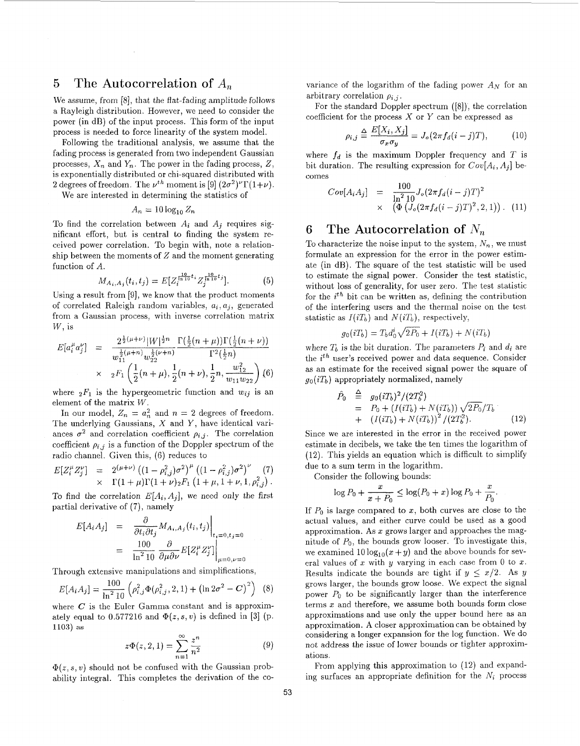## 5 The Autocorrelation of *A,*

We assume, from [8], that the flat-fading amplitude follows a Rayleigh distribution. However, we need to consider the power (in dB) of the input process. This form of the input process is needed to force linearity of the system model.

Following the traditional analysis, we assume that the fading process is generated from two independent Gaussian processes,  $X_n$  and  $Y_n$ . The power in the fading process,  $Z$ , is exponentially distributed or chi-squared distributed with 2 degrees of freedom. The  $\nu^{th}$  moment is [9]  $(2\sigma^2)^{\nu} \Gamma(1+\nu)$ .

We are interested in determining the statistics of

$$
A_n = 10 \log_{10} Z_n
$$

To find the correlation between  $A_i$  and  $A_j$  requires significant effort, but is central to finding the system received power correlation. To begin with, note a relakionship between the moments of *2* and the moment generating function of *A.* 

$$
M_{A_i, A_j}(t_i, t_j) = E[Z_i^{\frac{10}{1110}t_i} Z_j^{\frac{10}{1110}t_j}].
$$
 (5)

Using a result from [9], we know that the product moments of correlated Raleigh random variables,  $a_i, a_j$ , generated from a Gaussian process, with inverse correlation matrix *W,* is

$$
E[a_i^{\mu} a_j^{\nu}] = \frac{2^{\frac{1}{2}(\mu+\nu)} |W|^{\frac{1}{2}n}}{w_{11}^{\frac{1}{2}(\mu+n)} w_{22}^{\frac{1}{2}(\nu+n)}} \frac{\Gamma(\frac{1}{2}(n+\mu)) \Gamma(\frac{1}{2}(n+\nu))}{\Gamma^2(\frac{1}{2}n)} \times {}_{2}F_1 \left(\frac{1}{2}(n+\mu), \frac{1}{2}(n+\nu), \frac{1}{2}n, \frac{w_{12}^2}{w_{11}w_{22}}\right) (6)
$$

where  ${}_2F_1$  is the hypergeometric function and  $w_{ij}$  is an element of the matrix *W.* 

In our model,  $Z_n = a_n^2$  and  $n = 2$  degrees of freedom. The underlying Gaussians, *X* and *Y,* have identical variances  $\sigma^2$  and correlation coefficient  $\rho_{i,j}$ . The correlation coefficient  $\rho_{i,j}$  is a function of the Doppler spectrum of the radio channel. Given this, (6) reduces to

$$
E[Z_i^{\mu} Z_j^{\nu}] = 2^{(\mu+\nu)} ((1-\rho_{i,j}^2)\sigma^2)^{\mu} ((1-\rho_{i,j}^2)\sigma^2)^{\nu} (7) \times \Gamma(1+\mu)\Gamma(1+\nu)_{2}F_1 (1+\mu, 1+\nu, 1, \rho_{i,j}^2).
$$

To find the correlation  $E[A_i, A_j]$ , we need only the first partial derivative of  $(7)$ , namely

$$
E[A_i A_j] = \frac{\partial}{\partial t_i \partial t_j} M_{A_i, A_j}(t_i, t_j) \Big|_{t_i = 0, t_j = 0}
$$
  
\n
$$
= \frac{100}{\ln^2 10} \frac{\partial}{\partial \mu \partial \nu} E[Z_i^{\mu} Z_j^{\nu}] \Big|_{\mu = 0, \nu = 0}
$$
  
\nhroughtensive manipulations and simplifications,  
\n
$$
E[A_i A_j] = \frac{100}{\ln^2 10} \left( \rho_{i,j}^2 \Phi(\rho_{i,j}^2, 2, 1) + (\ln 2\sigma^2 - C)^2 \right) (8)
$$
  
\nhere, *G* is the Euler Gamma constant and is approximately

Through extensive manipulations and simplifcations,

$$
E[A_i A_j] = \frac{100}{\ln^2 10} \left( \rho_{i,j}^2 \Phi(\rho_{i,j}^2, 2, 1) + \left( \ln 2\sigma^2 - C \right)^2 \right) \tag{8}
$$

where  $C$  is the Euler Gamma constant and is approximately equal to  $0.577216$  and  $\Phi(z, s, v)$  is defined in [3] (p. 1103) as

$$
z\Phi(z,2,1) = \sum_{n=1}^{\infty} \frac{z^n}{n^2}
$$
 (9)

 $\Phi(z, s, v)$  should not be confused with the Gaussian probability integral. This completes the derivation of the covariance of the logarithm of the fading power *AN* for an arbitrary correlation  $\rho_{i,j}$ .

For the standard Doppler spectrum ([8]), the correlation coefficient for the process X or *Y* can be expressed as

$$
\rho_{i,j} \triangleq \frac{E[X_i, X_j]}{\sigma_x \sigma_y} = J_o(2\pi f_d(i-j)T), \quad (10)
$$

where  $f_d$  is the maximum Doppler frequency and  $T$  is bit duration. The resulting expression for  $Cov[A_i, A_j]$  becomes

$$
Cov[A_i A_j] = \frac{100}{\ln^2 10} J_o(2\pi f_d(i-j)T)^2
$$
  
 
$$
\times \left( \Phi \left( J_o(2\pi f_d(i-j)T)^2, 2, 1 \right) \right). (11)
$$

## *6* The Autocorrelation **of** *N,*

To characterize the noise input to the system,  $N_n$ , we must formulate an expression for the error in the power estimate (in dB). The square of the test statistic will be used to estimate the signal power. Consider the test statistic, without loss of generality, for user zero. The test statistic for the *ith* bit can be written as, defining the contribution of the interfering users and the thermal noise on the test statistic as  $I(iT_b)$  and  $N(iT_b)$ , respectively,

$$
g_0(iT_b) = T_b d_0^i \sqrt{2P_0} + I(iT_b) + N(iT_b)
$$

where  $T_b$  is the bit duration. The parameters  $P_i$  and  $d_i$  are the *ith* user's received power and data sequence. Consider as an estimate for the received signal power the square of  $g_0(iT_b)$  appropriately normalized, namely timate for the received s<br>
appropriately normalized<br>  $\hat{P}_0 \stackrel{\triangle}{=} g_0(iT_b)^2/(2T_b^2)$ <br>  $= P_b + (I(iT_b)^2)$ 

$$
\hat{\theta}_0 \stackrel{\triangle}{=} g_0(iT_b)^2/(2T_b^2) \n= P_0 + (I(iT_b) + N(iT_b))\sqrt{2P_0}/T_b \n+ (I(iT_b) + N(iT_b))^2/(2T_b^2).
$$
\n(12)

Since we are interested in the error in the received power estimate in decibels, we take the ten times the logarithm of (12). This yields an equation which is difficult to simplify due to a sum term in the logarithm. *<sup>X</sup>*log *Po* + - **<sup>L</sup>**log( *Po* + .) log *Po* -I- *5. x* + *Po PO* 

Consider the following bounds:

$$
\log P_0 + \frac{x}{x+P_0} \le \log(P_0 + x) \log P_0 + \frac{x}{P_0}.
$$

If  $P_0$  is large compared to  $x$ , both curves are close to the actual values, and either curve could be used as a good approximation. **As** *x* grows larger and approaches the magnitude of *Po,* the bounds grow looser. To investigate this, we examined  $10 \log_{10}(x+y)$  and the above bounds for several values of *2* with y varying in each case from 0 to *x.*  Results indicate the bounds are tight if  $y \leq x/2$ . As y grows larger, the bounds grow loose. We expect the signal power  $P_0$  to be significantly larger than the interference terms *x* and therefore, we assume both bounds form close approximations and use only the upper bound here as an approximation. **A** closer approximation can be obtained by considering a longer expansion for the log function. We do not address the issue of lower bounds or tighter approximations.

From applying this approximation to (12) and expanding surfaces an appropriate definition for the *Ni* process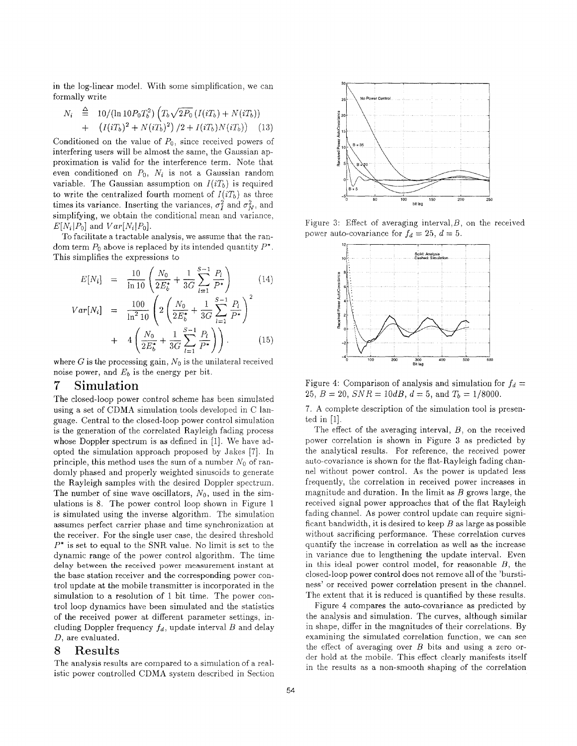in the log-linear model. With some simplification, we can formally write

$$
N_i \stackrel{\triangle}{=} 10/(\ln 10P_0T_b^2)\left(T_b\sqrt{2P_0}\left(I(iT_b) + N(iT_b)\right) + \left(I(iT_b)^2 + N(iT_b)^2\right)/2 + I(iT_b)N(iT_b)\right) \tag{13}
$$

Conditioned on the value of *Po,* since received powers of interfering users will be almost the same, the Gaussian approximation is valid for the interference term. Note that even conditioned on  $P_0$ ,  $N_i$  is not a Gaussian random variable. The Gaussian assumption on  $I(iT_b)$  is required to write the centralized fourth moment of  $I(iT<sub>b</sub>)$  as three times its variance. Inserting the variances,  $\sigma_i^2$  and  $\sigma_N^2$ , and simplifying, we obtain the conditional mean and variance,  $E[N_i|P_0]$  and  $Var[N_i|P_0]$ .

To facilitate a tractable analysis, we assume that the random term  $P_0$  above is replaced by its intended quantity  $P^*$ . This simplifies the expressions to

$$
E[N_i] = \frac{10}{\ln 10} \left( \frac{N_0}{2E_b^*} + \frac{1}{3G} \sum_{l=1}^{S-1} \frac{P_l}{P^*} \right) \tag{14}
$$
\n
$$
100 \left( \left( \frac{N_0}{N_0} + \frac{1}{3} \sum_{l=1}^{S-1} \frac{P_l}{P^*} \right)^2 \right)
$$

$$
Var[N_i] = \frac{100}{\ln^2 10} \left( 2 \left( \frac{N_0}{2E_b^*} + \frac{1}{3G} \sum_{l=1}^{P_1} \frac{F_l}{P^*} \right) + 4 \left( \frac{N_0}{2E_b^*} + \frac{1}{3G} \sum_{l=1}^{S-1} \frac{P_l}{P^*} \right) \right).
$$
 (15)

where G is the processing gain,  $N_0$  is the unilateral received noise power, and *Eb* is the energy per bit.

## 7 Simulation

The closed-loop power control scheme has been simulated using a set of CDMA simulation tools developed in C language. Central to the closed-loop power control simulation is the generation of the correlated Rayleigh fading process whose Doppler spectrum is as defined in [1]. We have adopted the simulation approach proposed by Jakes *[7].* In principle, this method uses the sum of a number *No* of randomly phased and properly weighted sinusoids to generate the Rayleigh samples with the desired Doppler spectrum. The number of sine wave oscillators,  $N_0$ , used in the simulations is 8. The power control loop shown in Figure 1 is simulated using the inverse algorithm. The simulation assumes perfect carrier phase and time synchronization at the receiver. For the single user case, the desired threshold *P'* is set to equal to the SNR value. No limit is set to the dynamic range of the power control algorithm. The time delay between the received power measurement instant at the base station receiver and the corresponding power control update at the mobile transmitter is incorporated in the simulation to a resolution of 1 bit time. The power control loop dynamics have been simulated and the statistics of the received power at different parameter settings, including Doppler frequency  $f_d$ , update interval  $B$  and delay *D,* are evaluated.

#### *8* Results

The analysis results are compared to *a* simulation of a realistic power controlled CDMA system described in Section



Figure 3: Effect of averaging interval,  $B$ , on the received power auto-covariance for  $f_d = 25$ ,  $d = 5$ .



Figure 4: Comparison of analysis and simulation for  $f_d =$ 25,  $B = 20$ ,  $SNR = 10dB$ ,  $d = 5$ , and  $T<sub>b</sub> = 1/8000$ .

7. **A** complete description of the simulation tool is presented in [1].

The effect of the averaging interval,  $B$ , on the received power correlation is shown in Figure **3** as predicted by the analytical results. For reference, the received power auto-covariance is shown for the flat-Rayleigh fading channel without power control. As the power is updated less frequently, the correlation in received power increases in magnitude and duration. In the limit as  $B$  grows large, the received signal power approaches that of the flat Rayleigh fading channel. As power control update can require significant bandwidth, it is desired to keep *B* as large as possible without sacrificing performance. These correlation curves quantify the increase in correlation as well as the increase in variance due to lengthening the update interval. Even in this ideal power control model, for reasonable *B,* the closed-loop power control does not remove all of the 'burstiness' or received power correlation present in the channel. The extent that it is reduced is quantified by these results.

Figure **4** compares the auto-covariance as predicted by the analysis and simulation. The curves, although similar in shape, differ in the magnitudes of their correlations. By examining the simulated correlation function, we can see the effect of averaging over *B* bits and using a zero order hold at the mobile. This effect clearly manifests itself in the results as a non-smooth shaping of the correlation